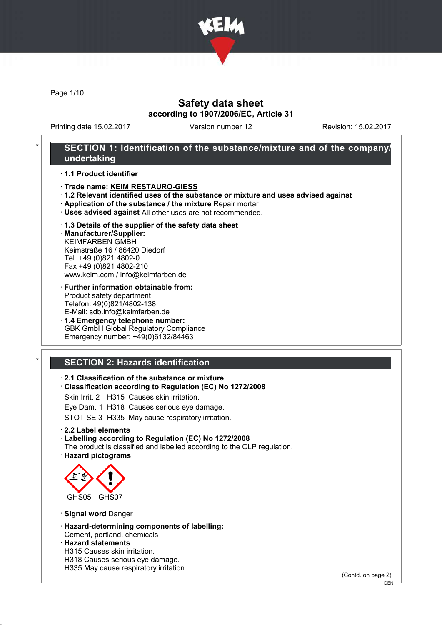

Page 1/10

# Safety data sheet according to 1907/2006/EC, Article 31

Printing date 15.02.2017 Version number 12 Revision: 15.02.2017

# SECTION 1: Identification of the substance/mixture and of the company/ undertaking

· 1.1 Product identifier

- · Trade name: KEIM RESTAURO-GIESS
- · 1.2 Relevant identified uses of the substance or mixture and uses advised against
- · Application of the substance / the mixture Repair mortar
- · Uses advised against All other uses are not recommended.

#### · 1.3 Details of the supplier of the safety data sheet

· Manufacturer/Supplier: KEIMFARBEN GMBH Keimstraße 16 / 86420 Diedorf Tel. +49 (0)821 4802-0 Fax +49 (0)821 4802-210 www.keim.com / info@keimfarben.de

#### · Further information obtainable from: Product safety department Telefon: 49(0)821/4802-138 E-Mail: sdb.info@keimfarben.de

· 1.4 Emergency telephone number: GBK GmbH Global Regulatory Compliance Emergency number: +49(0)6132/84463

# **SECTION 2: Hazards identification**

#### · 2.1 Classification of the substance or mixture

· Classification according to Regulation (EC) No 1272/2008

Skin Irrit. 2 H315 Causes skin irritation.

Eye Dam. 1 H318 Causes serious eye damage.

STOT SE 3 H335 May cause respiratory irritation.

· 2.2 Label elements

#### · Labelling according to Regulation (EC) No 1272/2008

The product is classified and labelled according to the CLP regulation. · Hazard pictograms



· Signal word Danger

· Hazard-determining components of labelling: Cement, portland, chemicals

## · Hazard statements

- H315 Causes skin irritation.
- H318 Causes serious eye damage.
- H335 May cause respiratory irritation.

(Contd. on page 2)

DEN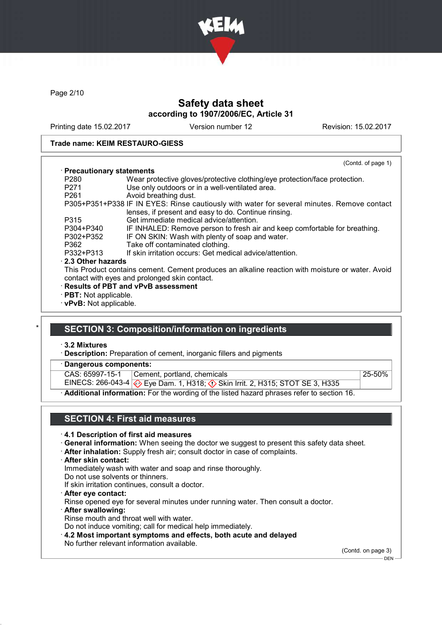

Page 2/10

# Safety data sheet according to 1907/2006/EC, Article 31

Printing date 15.02.2017 Version number 12 Revision: 15.02.2017

#### Trade name: KEIM RESTAURO-GIESS

|                              | (Contd. of page 1)                                                                                                                                 |  |
|------------------------------|----------------------------------------------------------------------------------------------------------------------------------------------------|--|
| · Precautionary statements   |                                                                                                                                                    |  |
| P280                         | Wear protective gloves/protective clothing/eye protection/face protection.                                                                         |  |
| P271                         | Use only outdoors or in a well-ventilated area.                                                                                                    |  |
| P <sub>261</sub>             | Avoid breathing dust.                                                                                                                              |  |
|                              | P305+P351+P338 IF IN EYES: Rinse cautiously with water for several minutes. Remove contact<br>lenses, if present and easy to do. Continue rinsing. |  |
| P315                         | Get immediate medical advice/attention.                                                                                                            |  |
| P304+P340                    | IF INHALED: Remove person to fresh air and keep comfortable for breathing.                                                                         |  |
| P302+P352                    | IF ON SKIN: Wash with plenty of soap and water.                                                                                                    |  |
| P362                         | Take off contaminated clothing.                                                                                                                    |  |
| P332+P313                    | If skin irritation occurs: Get medical advice/attention.                                                                                           |  |
| ⋅ 2.3 Other hazards          |                                                                                                                                                    |  |
|                              | This Product contains cement. Cement produces an alkaline reaction with moisture or water. Avoid                                                   |  |
|                              | contact with eyes and prolonged skin contact.                                                                                                      |  |
|                              | · Results of PBT and vPvB assessment                                                                                                               |  |
| $\cdot$ PBT: Not applicable. |                                                                                                                                                    |  |
| · vPvB: Not applicable.      |                                                                                                                                                    |  |

# **SECTION 3: Composition/information on ingredients**

· 3.2 Mixtures

- · Description: Preparation of cement, inorganic fillers and pigments
- Dangerous components:

CAS: 65997-15-1 Cement, portland, chemicals

EINECS: 266-043-4 Eye Dam. 1, H318; Skin Irrit. 2, H315; STOT SE 3, H335

· Additional information: For the wording of the listed hazard phrases refer to section 16.

## SECTION 4: First aid measures

#### · 4.1 Description of first aid measures

- · General information: When seeing the doctor we suggest to present this safety data sheet.
- · After inhalation: Supply fresh air; consult doctor in case of complaints.
- · After skin contact:

Immediately wash with water and soap and rinse thoroughly.

Do not use solvents or thinners.

- If skin irritation continues, consult a doctor.
- · After eye contact:

Rinse opened eye for several minutes under running water. Then consult a doctor.

· After swallowing: Rinse mouth and throat well with water.

Do not induce vomiting; call for medical help immediately.

- · 4.2 Most important symptoms and effects, both acute and delayed
- No further relevant information available.

(Contd. on page 3)

25-50%

 $-$  DEN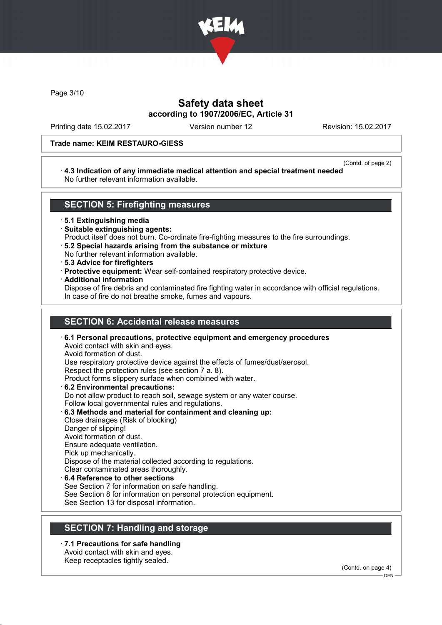

Page 3/10

# Safety data sheet according to 1907/2006/EC, Article 31

Printing date 15.02.2017 Version number 12 Revision: 15.02.2017

#### Trade name: KEIM RESTAURO-GIESS

(Contd. of page 2)

#### · 4.3 Indication of any immediate medical attention and special treatment needed No further relevant information available.

## SECTION 5: Firefighting measures

· 5.1 Extinguishing media

- · Suitable extinguishing agents:
- Product itself does not burn. Co-ordinate fire-fighting measures to the fire surroundings.
- · 5.2 Special hazards arising from the substance or mixture
- No further relevant information available.
- · 5.3 Advice for firefighters
- · Protective equipment: Wear self-contained respiratory protective device.
- · Additional information

Dispose of fire debris and contaminated fire fighting water in accordance with official regulations. In case of fire do not breathe smoke, fumes and vapours.

# SECTION 6: Accidental release measures

· 6.1 Personal precautions, protective equipment and emergency procedures Avoid contact with skin and eyes. Avoid formation of dust. Use respiratory protective device against the effects of fumes/dust/aerosol. Respect the protection rules (see section 7 a. 8). Product forms slippery surface when combined with water. · 6.2 Environmental precautions: Do not allow product to reach soil, sewage system or any water course. Follow local governmental rules and regulations. · 6.3 Methods and material for containment and cleaning up: Close drainages (Risk of blocking) Danger of slipping! Avoid formation of dust. Ensure adequate ventilation. Pick up mechanically. Dispose of the material collected according to regulations. Clear contaminated areas thoroughly.

# 6.4 Reference to other sections

See Section 7 for information on safe handling.

See Section 8 for information on personal protection equipment.

See Section 13 for disposal information.

## SECTION 7: Handling and storage

· 7.1 Precautions for safe handling Avoid contact with skin and eyes.

Keep receptacles tightly sealed.

(Contd. on page 4)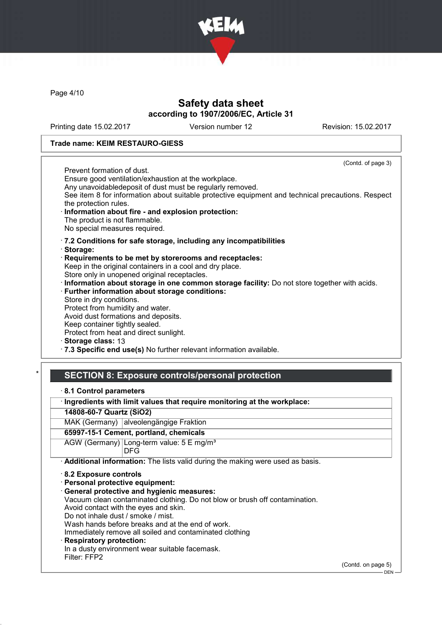

Page 4/10

# Safety data sheet according to 1907/2006/EC, Article 31

Printing date 15.02.2017 Version number 12 Revision: 15.02.2017

#### Trade name: KEIM RESTAURO-GIESS

(Contd. of page 3) Prevent formation of dust. Ensure good ventilation/exhaustion at the workplace. Any unavoidabledeposit of dust must be regularly removed. See item 8 for information about suitable protective equipment and technical precautions. Respect the protection rules. Information about fire - and explosion protection: The product is not flammable. No special measures required. · 7.2 Conditions for safe storage, including any incompatibilities · Storage: · Requirements to be met by storerooms and receptacles: Keep in the original containers in a cool and dry place. Store only in unopened original receptacles. · Information about storage in one common storage facility: Do not store together with acids. · Further information about storage conditions: Store in dry conditions. Protect from humidity and water. Avoid dust formations and deposits. Keep container tightly sealed. Protect from heat and direct sunlight. Storage class: 13

· 7.3 Specific end use(s) No further relevant information available.

## SECTION 8: Exposure controls/personal protection

|  | 8.1 Control parameters |
|--|------------------------|
|--|------------------------|

· Ingredients with limit values that require monitoring at the workplace:

14808-60-7 Quartz (SiO2)

MAK (Germany) alveolengängige Fraktion

#### 65997-15-1 Cement, portland, chemicals

AGW (Germany) Long-term value: 5 E mg/m<sup>3</sup> DFG

· Additional information: The lists valid during the making were used as basis.

· 8.2 Exposure controls

· Personal protective equipment:

· General protective and hygienic measures:

Vacuum clean contaminated clothing. Do not blow or brush off contamination.

Avoid contact with the eyes and skin.

Do not inhale dust / smoke / mist.

Wash hands before breaks and at the end of work.

Immediately remove all soiled and contaminated clothing

## **Respiratory protection:**

In a dusty environment wear suitable facemask.

Filter: FFP2

(Contd. on page 5)

 $-$  DEN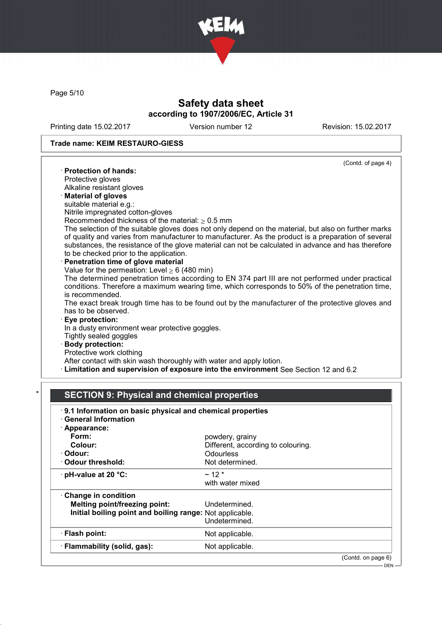

Page 5/10

# Safety data sheet according to 1907/2006/EC, Article 31

Printing date 15.02.2017 Version number 12 Revision: 15.02.2017

## Trade name: KEIM RESTAURO-GIESS

|                                                                      | (Contd. of page 4)                                                                                   |
|----------------------------------------------------------------------|------------------------------------------------------------------------------------------------------|
| · Protection of hands:                                               |                                                                                                      |
| Protective gloves                                                    |                                                                                                      |
| Alkaline resistant gloves                                            |                                                                                                      |
| <b>Material of gloves</b>                                            |                                                                                                      |
| suitable material e.g.:                                              |                                                                                                      |
| Nitrile impregnated cotton-gloves                                    |                                                                                                      |
| Recommended thickness of the material: $\geq 0.5$ mm                 |                                                                                                      |
|                                                                      | The selection of the suitable gloves does not only depend on the material, but also on further marks |
|                                                                      | of quality and varies from manufacturer to manufacturer. As the product is a preparation of several  |
|                                                                      | substances, the resistance of the glove material can not be calculated in advance and has therefore  |
| to be checked prior to the application.                              |                                                                                                      |
| · Penetration time of glove material                                 |                                                                                                      |
| Value for the permeation: Level $\geq 6$ (480 min)                   |                                                                                                      |
|                                                                      | The determined penetration times according to EN 374 part III are not performed under practical      |
|                                                                      | conditions. Therefore a maximum wearing time, which corresponds to 50% of the penetration time,      |
| is recommended.                                                      |                                                                                                      |
|                                                                      | The exact break trough time has to be found out by the manufacturer of the protective gloves and     |
| has to be observed.                                                  |                                                                                                      |
| <b>Eye protection:</b>                                               |                                                                                                      |
| In a dusty environment wear protective goggles.                      |                                                                                                      |
| Tightly sealed goggles                                               |                                                                                                      |
| · Body protection:                                                   |                                                                                                      |
| Protective work clothing                                             |                                                                                                      |
| After contact with skin wash thoroughly with water and apply lotion. |                                                                                                      |
|                                                                      | · Limitation and supervision of exposure into the environment See Section 12 and 6.2                 |

## SECTION 9: Physical and chemical properties

| 9.1 Information on basic physical and chemical properties<br><b>General Information</b> |                                    |                    |
|-----------------------------------------------------------------------------------------|------------------------------------|--------------------|
| · Appearance:                                                                           |                                    |                    |
| Form:                                                                                   | powdery, grainy                    |                    |
| Colour:                                                                                 | Different, according to colouring. |                    |
| · Odour:                                                                                | <b>Odourless</b>                   |                    |
| Odour threshold:                                                                        | Not determined.                    |                    |
| $\cdot$ pH-value at 20 $\degree$ C:                                                     | $~12*$                             |                    |
|                                                                                         | with water mixed                   |                    |
| Change in condition                                                                     |                                    |                    |
| <b>Melting point/freezing point:</b>                                                    | Undetermined.                      |                    |
| Initial boiling point and boiling range: Not applicable.                                |                                    |                    |
|                                                                                         | Undetermined.                      |                    |
| · Flash point:                                                                          | Not applicable.                    |                    |
| · Flammability (solid, gas):                                                            | Not applicable.                    |                    |
|                                                                                         |                                    | (Contd. on page 6) |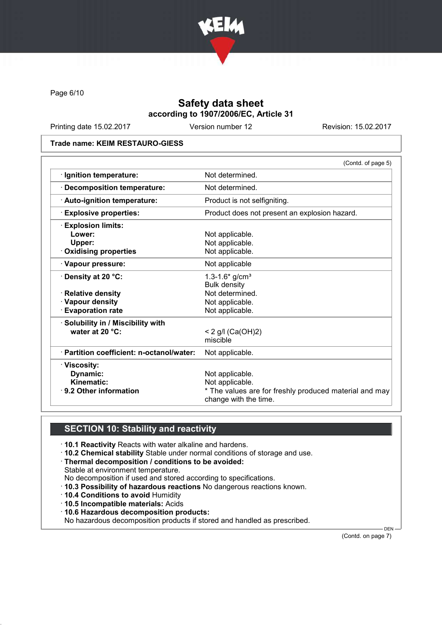

Page 6/10

# Safety data sheet according to 1907/2006/EC, Article 31

Printing date 15.02.2017 Version number 12 Revision: 15.02.2017

#### Trade name: KEIM RESTAURO-GIESS

|                                         | (Contd. of page 5)                                                              |
|-----------------------------------------|---------------------------------------------------------------------------------|
| · Ignition temperature:                 | Not determined.                                                                 |
| <b>Decomposition temperature:</b>       | Not determined.                                                                 |
| · Auto-ignition temperature:            | Product is not selfigniting.                                                    |
| <b>Explosive properties:</b>            | Product does not present an explosion hazard.                                   |
| <b>Explosion limits:</b>                |                                                                                 |
| Lower:                                  | Not applicable.                                                                 |
| Upper:                                  | Not applicable.                                                                 |
| Oxidising properties                    | Not applicable.                                                                 |
| · Vapour pressure:                      | Not applicable                                                                  |
| $\cdot$ Density at 20 °C:               | $1.3 - 1.6*$ g/cm <sup>3</sup>                                                  |
|                                         | <b>Bulk density</b>                                                             |
| · Relative density                      | Not determined.                                                                 |
| · Vapour density                        | Not applicable.                                                                 |
| <b>Evaporation rate</b>                 | Not applicable.                                                                 |
| · Solubility in / Miscibility with      |                                                                                 |
| water at 20 °C:                         | < 2 g/l (Ca(OH)2)                                                               |
|                                         | miscible                                                                        |
| Partition coefficient: n-octanol/water: | Not applicable.                                                                 |
| · Viscosity:                            |                                                                                 |
| Dynamic:                                | Not applicable.                                                                 |
| Kinematic:                              | Not applicable.                                                                 |
| $\cdot$ 9.2 Other information           | * The values are for freshly produced material and may<br>change with the time. |

# SECTION 10: Stability and reactivity

- · 10.1 Reactivity Reacts with water alkaline and hardens.
- · 10.2 Chemical stability Stable under normal conditions of storage and use.
- · Thermal decomposition / conditions to be avoided:
- Stable at environment temperature.
- No decomposition if used and stored according to specifications.
- · 10.3 Possibility of hazardous reactions No dangerous reactions known.
- · 10.4 Conditions to avoid Humidity
- · 10.5 Incompatible materials: Acids
- · 10.6 Hazardous decomposition products:
- No hazardous decomposition products if stored and handled as prescribed.

(Contd. on page 7)

DEN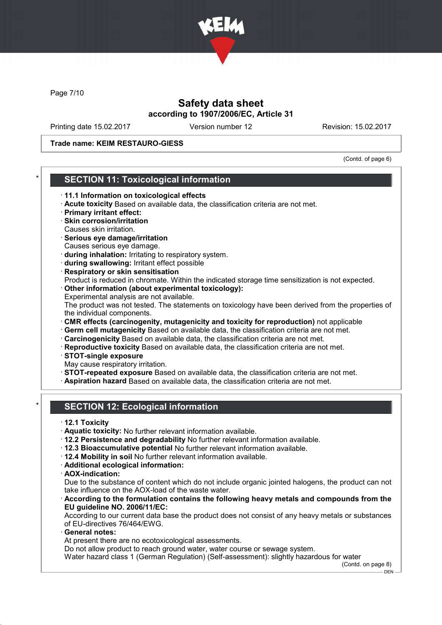

Page 7/10

# Safety data sheet according to 1907/2006/EC, Article 31

Printing date 15.02.2017 Version number 12 Revision: 15.02.2017

Trade name: KEIM RESTAURO-GIESS

(Contd. of page 6)

## **SECTION 11: Toxicological information**

- · 11.1 Information on toxicological effects
- · Acute toxicity Based on available data, the classification criteria are not met.
- · Primary irritant effect:
- · Skin corrosion/irritation Causes skin irritation.
- · Serious eye damage/irritation Causes serious eye damage.
- · during inhalation: Irritating to respiratory system.
- · during swallowing: Irritant effect possible
- · Respiratory or skin sensitisation
- Product is reduced in chromate. Within the indicated storage time sensitization is not expected. · Other information (about experimental toxicology):
- Experimental analysis are not available.

The product was not tested. The statements on toxicology have been derived from the properties of the individual components.

- · CMR effects (carcinogenity, mutagenicity and toxicity for reproduction) not applicable
- · Germ cell mutagenicity Based on available data, the classification criteria are not met.
- · Carcinogenicity Based on available data, the classification criteria are not met.
- · Reproductive toxicity Based on available data, the classification criteria are not met.
- · STOT-single exposure
- May cause respiratory irritation.
- · STOT-repeated exposure Based on available data, the classification criteria are not met.
- · Aspiration hazard Based on available data, the classification criteria are not met.
- **SECTION 12: Ecological information**
- · 12.1 Toxicity
- · Aquatic toxicity: No further relevant information available.
- · 12.2 Persistence and degradability No further relevant information available.
- · 12.3 Bioaccumulative potential No further relevant information available.
- · 12.4 Mobility in soil No further relevant information available.
- · Additional ecological information:
- · AOX-indication:

Due to the substance of content which do not include organic jointed halogens, the product can not take influence on the AOX-load of the waste water.

According to the formulation contains the following heavy metals and compounds from the EU guideline NO. 2006/11/EC:

According to our current data base the product does not consist of any heavy metals or substances of EU-directives 76/464/EWG.

General notes:

At present there are no ecotoxicological assessments.

Do not allow product to reach ground water, water course or sewage system.

Water hazard class 1 (German Regulation) (Self-assessment): slightly hazardous for water

(Contd. on page 8)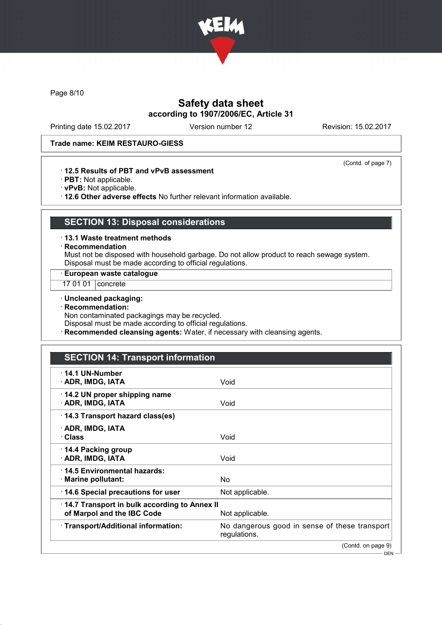

Page 8/10

# Safety data sheet according to 1907/2006/EC, Article 31

Printing date 15.02.2017 Version number 12 Revision: 15.02.2017

(Contd. of page 7)

## Trade name: KEIM RESTAURO-GIESS

· 12.5 Results of PBT and vPvB assessment

- · PBT: Not applicable.
- · vPvB: Not applicable.

· 12.6 Other adverse effects No further relevant information available.

# SECTION 13: Disposal considerations

- · 13.1 Waste treatment methods
- · Recommendation

Must not be disposed with household garbage. Do not allow product to reach sewage system. Disposal must be made according to official regulations.

· European waste catalogue

- 17 01 01 **concrete**
- · Uncleaned packaging:
- · Recommendation:

Non contaminated packagings may be recycled.

Disposal must be made according to official regulations.

· Recommended cleansing agents: Water, if necessary with cleansing agents.

# SECTION 14: Transport information

| $\cdot$ 14.1 UN-Number<br>· ADR, IMDG, IATA                                | Void                                                          |
|----------------------------------------------------------------------------|---------------------------------------------------------------|
| 14.2 UN proper shipping name<br>· ADR, IMDG, IATA                          | Void                                                          |
| 14.3 Transport hazard class(es)                                            |                                                               |
| · ADR, IMDG, IATA<br>· Class                                               | Void                                                          |
| $\cdot$ 14.4 Packing group<br>· ADR, IMDG, IATA                            | Void                                                          |
| 14.5 Environmental hazards:<br>$\cdot$ Marine pollutant:                   | No.                                                           |
| 14.6 Special precautions for user                                          | Not applicable.                                               |
| 14.7 Transport in bulk according to Annex II<br>of Marpol and the IBC Code | Not applicable.                                               |
| · Transport/Additional information:                                        | No dangerous good in sense of these transport<br>regulations. |
|                                                                            | (Contd. on page 9)                                            |
|                                                                            | — DEN —                                                       |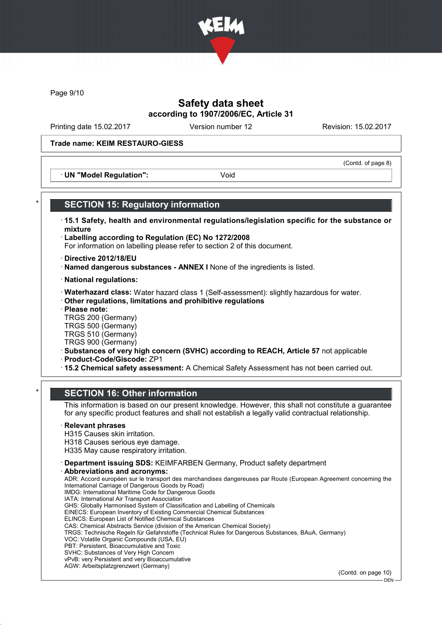

Page 9/10

# Safety data sheet according to 1907/2006/EC, Article 31

Printing date 15.02.2017 Version number 12 Revision: 15.02.2017

(Contd. of page 8)

#### Trade name: KEIM RESTAURO-GIESS

· UN "Model Regulation": Void

**SECTION 15: Regulatory information** · 15.1 Safety, health and environmental regulations/legislation specific for the substance or mixture · Labelling according to Regulation (EC) No 1272/2008 For information on labelling please refer to section 2 of this document. · Directive 2012/18/EU · Named dangerous substances - ANNEX I None of the ingredients is listed. · National regulations: · Waterhazard class: Water hazard class 1 (Self-assessment): slightly hazardous for water.

· Other regulations, limitations and prohibitive regulations

· Please note:

TRGS 200 (Germany) TRGS 500 (Germany)

TRGS 510 (Germany) TRGS 900 (Germany)

· Substances of very high concern (SVHC) according to REACH, Article 57 not applicable

· Product-Code/Giscode: ZP1

· 15.2 Chemical safety assessment: A Chemical Safety Assessment has not been carried out.

## **SECTION 16: Other information**

This information is based on our present knowledge. However, this shall not constitute a guarantee for any specific product features and shall not establish a legally valid contractual relationship.

## **Relevant phrases**

H315 Causes skin irritation. H318 Causes serious eye damage.

H335 May cause respiratory irritation.

· Department issuing SDS: KEIMFARBEN Germany, Product safety department

Abbreviations and acronyms:

ADR: Accord européen sur le transport des marchandises dangereuses par Route (European Agreement concerning the International Carriage of Dangerous Goods by Road) IMDG: International Maritime Code for Dangerous Goods IATA: International Air Transport Association GHS: Globally Harmonised System of Classification and Labelling of Chemicals EINECS: European Inventory of Existing Commercial Chemical Substances ELINCS: European List of Notified Chemical Substances CAS: Chemical Abstracts Service (division of the American Chemical Society) TRGS: Technische Regeln für Gefahrstoffe (Technical Rules for Dangerous Substances, BAuA, Germany) VOC: Volatile Organic Compounds (USA, EU) PBT: Persistent, Bioaccumulative and Toxic SVHC: Substances of Very High Concern

vPvB: very Persistent and very Bioaccumulative

AGW: Arbeitsplatzgrenzwert (Germany)

(Contd. on page 10)

DEN